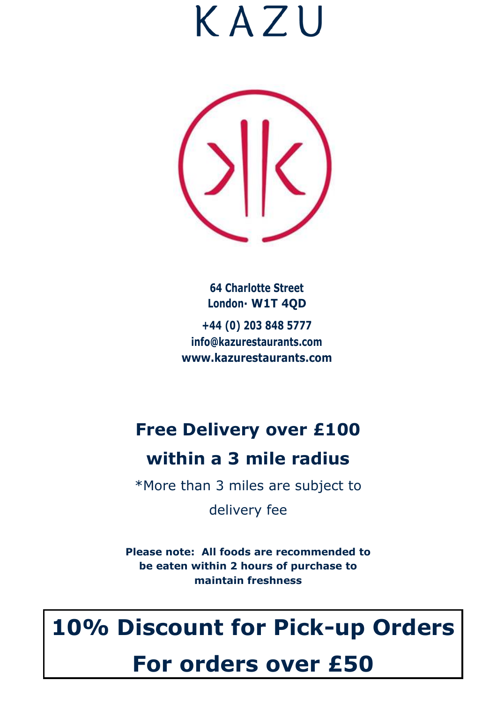

**64 Charlotte Street London· W1T 4QD +44 (0) 203 848 5777 [info@kazurestaurants.com](mailto:info@kazurestaurants.com) [www.kazurestaurants.com](http://www.kazurestaurants.com/)**

# **Free Delivery over £100**

# **within a 3 mile radius**

\*More than 3 miles are subject to

delivery fee

**Please note: All foods are recommended to be eaten within 2 hours of purchase to maintain freshness**

# **10% Discount for Pick-up Orders**

# **For orders over £50**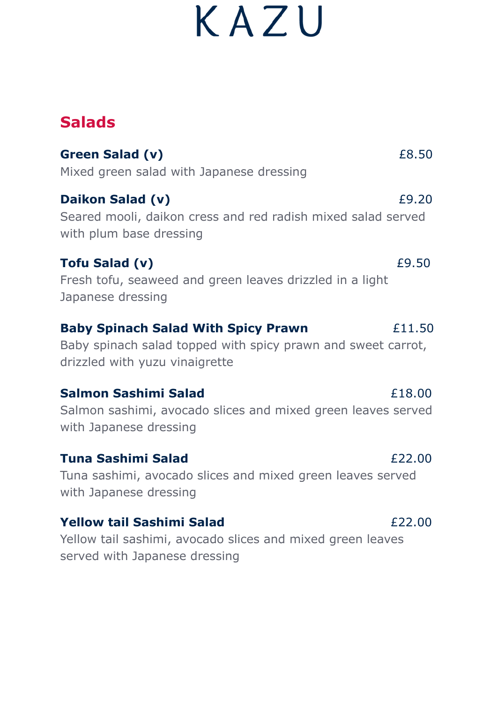# **Salads**

**Green Salad (v)**  $£8.50$ Mixed green salad with Japanese dressing **Daikon Salad (v)**  $£9.20$ Seared mooli, daikon cress and red radish mixed salad served with plum base dressing

## **Tofu Salad (v)** £9.50

Fresh tofu, seaweed and green leaves drizzled in a light Japanese dressing

### **Baby Spinach Salad With Spicy Prawn**  $£11.50$

Baby spinach salad topped with spicy prawn and sweet carrot, drizzled with yuzu vinaigrette

### **Salmon Sashimi Salad Example 26 F18.00**

Salmon sashimi, avocado slices and mixed green leaves served with Japanese dressing

### **Tuna Sashimi Salad** £22.00

Tuna sashimi, avocado slices and mixed green leaves served with Japanese dressing

### **Yellow tail Sashimi Salad EXECUTE:** EXECUTE:  $f(22.00)$

Yellow tail sashimi, avocado slices and mixed green leaves served with Japanese dressing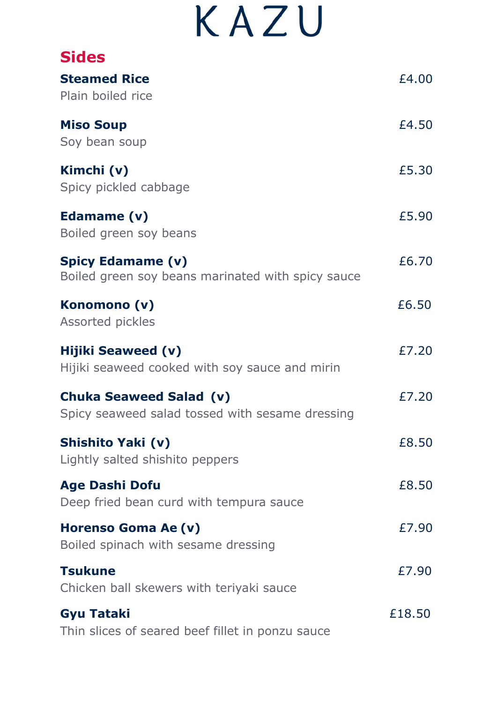| <b>Sides</b>                                                                      |        |
|-----------------------------------------------------------------------------------|--------|
| <b>Steamed Rice</b><br>Plain boiled rice                                          | £4.00  |
| <b>Miso Soup</b><br>Soy bean soup                                                 | £4.50  |
| Kimchi (v)<br>Spicy pickled cabbage                                               | £5.30  |
| Edamame (v)<br>Boiled green soy beans                                             | £5.90  |
| <b>Spicy Edamame (v)</b><br>Boiled green soy beans marinated with spicy sauce     | £6.70  |
| Konomono (v)<br><b>Assorted pickles</b>                                           | £6.50  |
| <b>Hijiki Seaweed (v)</b><br>Hijiki seaweed cooked with soy sauce and mirin       | £7.20  |
| <b>Chuka Seaweed Salad (v)</b><br>Spicy seaweed salad tossed with sesame dressing | £7.20  |
| Shishito Yaki (v)<br>Lightly salted shishito peppers                              | £8.50  |
| <b>Age Dashi Dofu</b><br>Deep fried bean curd with tempura sauce                  | £8.50  |
| Horenso Goma Ae (v)<br>Boiled spinach with sesame dressing                        | £7.90  |
| <b>Tsukune</b><br>Chicken ball skewers with teriyaki sauce                        | £7.90  |
| <b>Gyu Tataki</b><br>Thin slices of seared beef fillet in ponzu sauce             | £18.50 |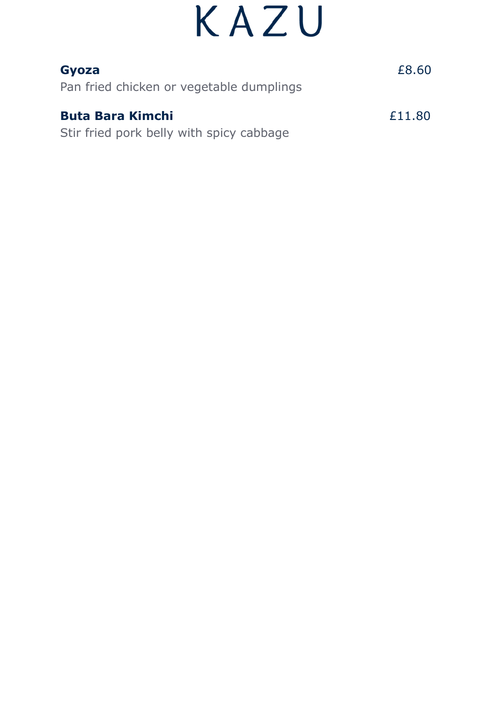| Gyoza                                    | £8.60  |
|------------------------------------------|--------|
| Pan fried chicken or vegetable dumplings |        |
| <b>Buta Bara Kimchi</b>                  | £11.80 |
| Stir fried pork belly with spicy cabbage |        |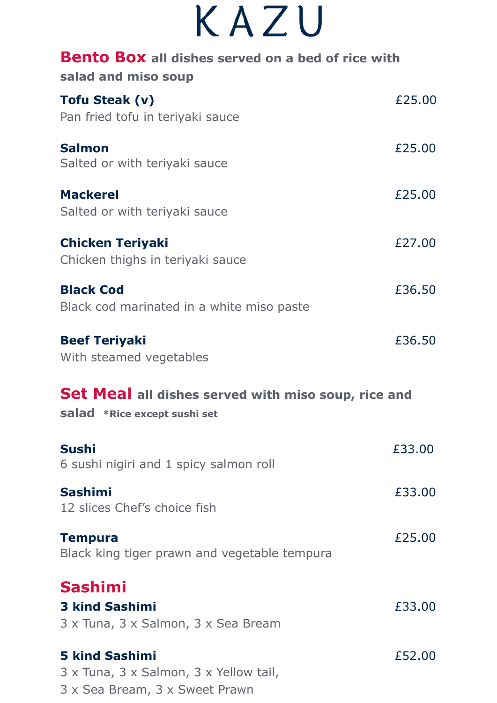| <b>Bento Box</b> all dishes served on a bed of rice with<br>salad and miso soup     |        |
|-------------------------------------------------------------------------------------|--------|
| <b>Tofu Steak (v)</b><br>Pan fried tofu in teriyaki sauce                           | £25.00 |
| <b>Salmon</b><br>Salted or with teriyaki sauce                                      | £25.00 |
| <b>Mackerel</b><br>Salted or with teriyaki sauce                                    | £25.00 |
| <b>Chicken Teriyaki</b><br>Chicken thighs in teriyaki sauce                         | £27.00 |
| <b>Black Cod</b><br>Black cod marinated in a white miso paste                       | £36.50 |
| <b>Beef Teriyaki</b><br>With steamed vegetables                                     | £36.50 |
| Set Meal all dishes served with miso soup, rice and<br>salad *Rice except sushi set |        |
| <b>Sushi</b><br>6 sushi nigiri and 1 spicy salmon roll                              | £33.00 |
| <b>Sashimi</b><br>12 slices Chef's choice fish                                      | £33.00 |
| <b>Tempura</b><br>Black king tiger prawn and vegetable tempura                      | £25.00 |
| <b>Sashimi</b><br><b>3 kind Sashimi</b><br>3 x Tuna, 3 x Salmon, 3 x Sea Bream      | £33.00 |
| <b>5 kind Sashimi</b><br>3 x Tuna, 3 x Salmon, 3 x Yellow tail,                     | £52.00 |

3 x Sea Bream, 3 x Sweet Prawn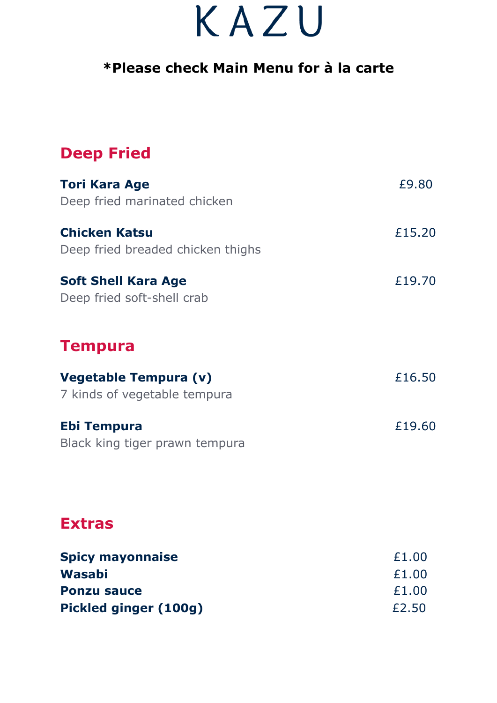## **\*Please check Main Menu for à la carte**

## **Deep Fried**

| <b>Tori Kara Age</b>              | £9.80  |
|-----------------------------------|--------|
| Deep fried marinated chicken      |        |
| <b>Chicken Katsu</b>              | £15.20 |
| Deep fried breaded chicken thighs |        |
| <b>Soft Shell Kara Age</b>        | £19.70 |
| Deep fried soft-shell crab        |        |
|                                   |        |
| <b>Tempura</b>                    |        |
| Vegetable Tempura (v)             | £16.50 |
| 7 kinds of vegetable tempura      |        |
| Ebi Tempura                       | £19.60 |
| Black king tiger prawn tempura    |        |
|                                   |        |

## **Extras**

| <b>Spicy mayonnaise</b> | £1.00 |
|-------------------------|-------|
| Wasabi                  | £1.00 |
| <b>Ponzu sauce</b>      | £1.00 |
| Pickled ginger (100g)   | £2.50 |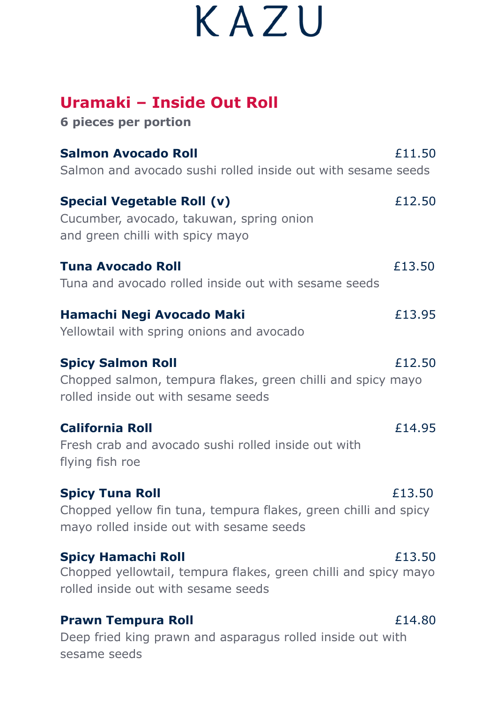## **Uramaki – Inside Out Roll**

**6 pieces per portion**

| <b>Salmon Avocado Roll</b><br>Salmon and avocado sushi rolled inside out with sesame seeds                                            | £11.50 |
|---------------------------------------------------------------------------------------------------------------------------------------|--------|
| <b>Special Vegetable Roll (v)</b><br>Cucumber, avocado, takuwan, spring onion<br>and green chilli with spicy mayo                     | £12.50 |
| <b>Tuna Avocado Roll</b><br>Tuna and avocado rolled inside out with sesame seeds                                                      | £13.50 |
| Hamachi Negi Avocado Maki<br>Yellowtail with spring onions and avocado                                                                | £13.95 |
| <b>Spicy Salmon Roll</b><br>Chopped salmon, tempura flakes, green chilli and spicy mayo<br>rolled inside out with sesame seeds        | £12.50 |
| <b>California Roll</b><br>Fresh crab and avocado sushi rolled inside out with<br>flying fish roe                                      | £14.95 |
| <b>Spicy Tuna Roll</b><br>Chopped yellow fin tuna, tempura flakes, green chilli and spicy<br>mayo rolled inside out with sesame seeds | £13.50 |
| <b>Spicy Hamachi Roll</b><br>Chopped yellowtail, tempura flakes, green chilli and spicy mayo<br>rolled inside out with sesame seeds   | £13.50 |
| <b>Prawn Tempura Roll</b>                                                                                                             | £14.80 |

Deep fried king prawn and asparagus rolled inside out with sesame seeds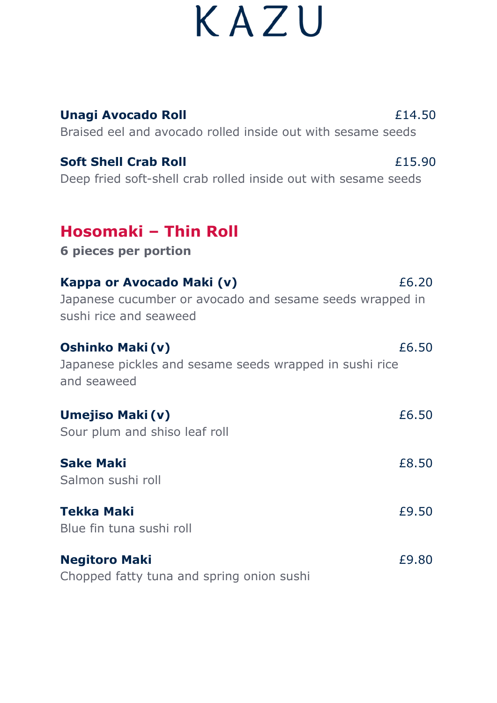| <b>Unagi Avocado Roll</b><br>Braised eel and avocado rolled inside out with sesame seeds                        | £14.50 |
|-----------------------------------------------------------------------------------------------------------------|--------|
| <b>Soft Shell Crab Roll</b><br>Deep fried soft-shell crab rolled inside out with sesame seeds                   | £15.90 |
| Hosomaki - Thin Roll<br><b>6 pieces per portion</b>                                                             |        |
| Kappa or Avocado Maki (v)<br>Japanese cucumber or avocado and sesame seeds wrapped in<br>sushi rice and seaweed | £6.20  |
| <b>Oshinko Maki (v)</b><br>Japanese pickles and sesame seeds wrapped in sushi rice<br>and seaweed               | £6.50  |
| Umejiso Maki (v)<br>Sour plum and shiso leaf roll                                                               | £6.50  |
| <b>Sake Maki</b><br>Salmon sushi roll                                                                           | £8.50  |
| Tekka Maki<br>Blue fin tuna sushi roll                                                                          | £9.50  |
| <b>Negitoro Maki</b><br>Chopped fatty tuna and spring onion sushi                                               | £9.80  |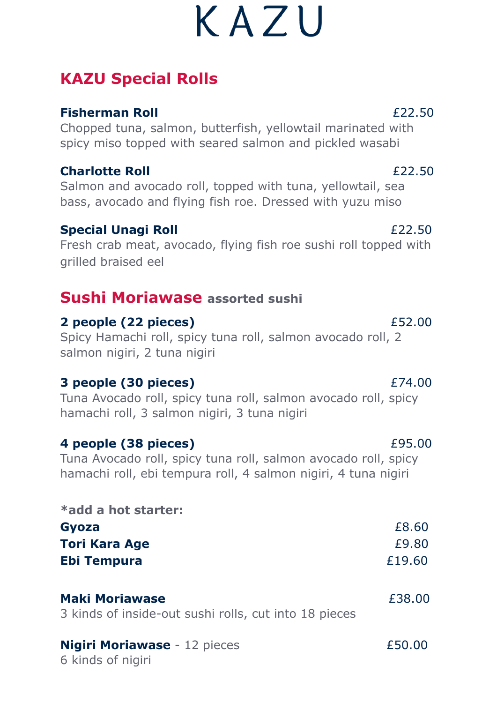# **KAZU Special Rolls**

## **Fisherman Roll** £22.50

Chopped tuna, salmon, butterfish, yellowtail marinated with spicy miso topped with seared salmon and pickled wasabi

### **Charlotte Roll** £22.50

Salmon and avocado roll, topped with tuna, yellowtail, sea bass, avocado and flying fish roe. Dressed with yuzu miso

## **Special Unagi Roll** £22.50

Fresh crab meat, avocado, flying fish roe sushi roll topped with grilled braised eel

## **Sushi Moriawase assorted sushi**

## **2 people (22 pieces)** £52.00

Spicy Hamachi roll, spicy tuna roll, salmon avocado roll, 2 salmon nigiri, 2 tuna nigiri

### **3 people (30 pieces)** £74.00

Tuna Avocado roll, spicy tuna roll, salmon avocado roll, spicy hamachi roll, 3 salmon nigiri, 3 tuna nigiri

### **4 people (38 pieces)** £95.00

Tuna Avocado roll, spicy tuna roll, salmon avocado roll, spicy hamachi roll, ebi tempura roll, 4 salmon nigiri, 4 tuna nigiri

**\*add a hot starter: Gyoza** £8.60 **Tori Kara Age** £9.80 **Ebi Tempura** £19.60

| <b>Maki Moriawase</b>                                 | £38.00 |
|-------------------------------------------------------|--------|
| 3 kinds of inside-out sushi rolls, cut into 18 pieces |        |

### **Nigiri Moriawase** - 12 pieces£50.00 6 kinds of nigiri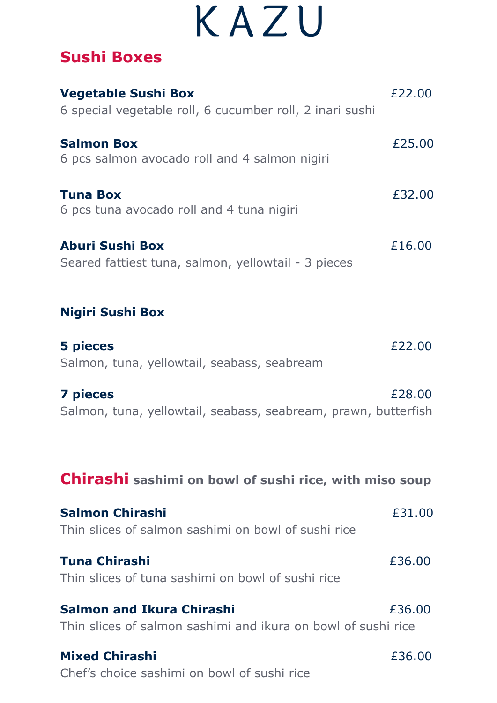## **Sushi Boxes**

| <b>Vegetable Sushi Box</b><br>6 special vegetable roll, 6 cucumber roll, 2 inari sushi            | £22.00 |
|---------------------------------------------------------------------------------------------------|--------|
| <b>Salmon Box</b><br>6 pcs salmon avocado roll and 4 salmon nigiri                                | £25.00 |
| <b>Tuna Box</b><br>6 pcs tuna avocado roll and 4 tuna nigiri                                      | £32.00 |
| <b>Aburi Sushi Box</b><br>Seared fattiest tuna, salmon, yellowtail - 3 pieces                     | £16.00 |
| <b>Nigiri Sushi Box</b>                                                                           |        |
| 5 pieces<br>Salmon, tuna, yellowtail, seabass, seabream                                           | £22.00 |
| <b>7 pieces</b><br>Salmon, tuna, yellowtail, seabass, seabream, prawn, butterfish                 | £28,00 |
| Chirashi sashimi on bowl of sushi rice, with miso soup                                            |        |
| <b>Salmon Chirashi</b><br>Thin slices of salmon sashimi on bowl of sushi rice                     | £31.00 |
| <b>Tuna Chirashi</b><br>Thin slices of tuna sashimi on bowl of sushi rice                         | £36.00 |
| <b>Salmon and Ikura Chirashi</b><br>Thin slices of salmon sashimi and ikura on bowl of sushi rice | £36.00 |
| <b>Mixed Chirashi</b><br>Chef's choice sashimi on bowl of sushi rice                              | £36.00 |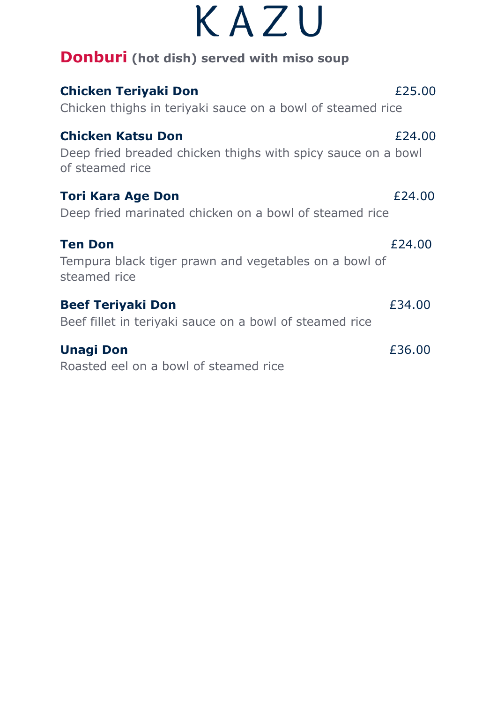|  | KAZU |  |
|--|------|--|
|  |      |  |

| <b>Donburi</b> (hot dish) served with miso soup                                                             |        |  |
|-------------------------------------------------------------------------------------------------------------|--------|--|
| <b>Chicken Teriyaki Don</b><br>Chicken thighs in teriyaki sauce on a bowl of steamed rice                   | £25.00 |  |
| <b>Chicken Katsu Don</b><br>Deep fried breaded chicken thighs with spicy sauce on a bowl<br>of steamed rice | £24.00 |  |
| <b>Tori Kara Age Don</b><br>Deep fried marinated chicken on a bowl of steamed rice                          | £24.00 |  |
| <b>Ten Don</b><br>Tempura black tiger prawn and vegetables on a bowl of<br>steamed rice                     | £24.00 |  |
| <b>Beef Teriyaki Don</b><br>Beef fillet in teriyaki sauce on a bowl of steamed rice                         | £34.00 |  |
| <b>Unagi Don</b>                                                                                            | £36.00 |  |

Roasted eel on a bowl of steamed rice